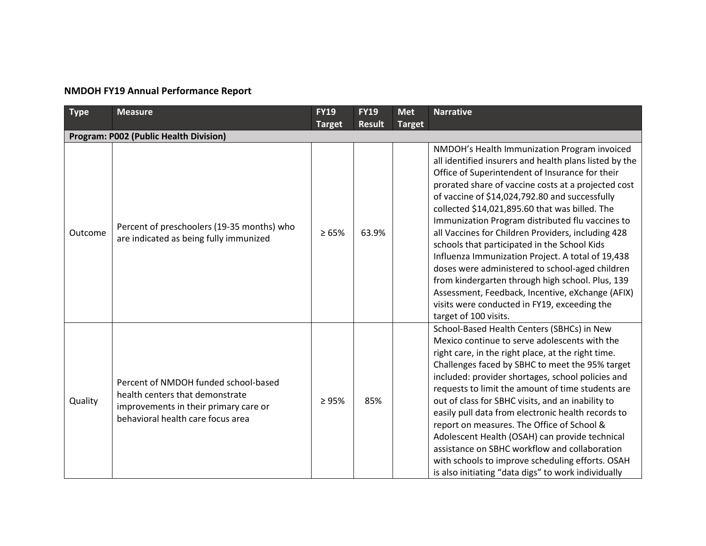## **NMDOH FY19 Annual Performance Report**

| <b>Type</b> | <b>Measure</b>                                                                                                                                        | <b>FY19</b><br><b>Target</b> | <b>FY19</b><br><b>Result</b> | <b>Met</b><br><b>Target</b> | <b>Narrative</b>                                                                                                                                                                                                                                                                                                                                                                                                                                                                                                                                                                                                                                                                                                                                                        |
|-------------|-------------------------------------------------------------------------------------------------------------------------------------------------------|------------------------------|------------------------------|-----------------------------|-------------------------------------------------------------------------------------------------------------------------------------------------------------------------------------------------------------------------------------------------------------------------------------------------------------------------------------------------------------------------------------------------------------------------------------------------------------------------------------------------------------------------------------------------------------------------------------------------------------------------------------------------------------------------------------------------------------------------------------------------------------------------|
|             | <b>Program: P002 (Public Health Division)</b>                                                                                                         |                              |                              |                             |                                                                                                                                                                                                                                                                                                                                                                                                                                                                                                                                                                                                                                                                                                                                                                         |
| Outcome     | Percent of preschoolers (19-35 months) who<br>are indicated as being fully immunized                                                                  | $\geq 65\%$                  | 63.9%                        |                             | NMDOH's Health Immunization Program invoiced<br>all identified insurers and health plans listed by the<br>Office of Superintendent of Insurance for their<br>prorated share of vaccine costs at a projected cost<br>of vaccine of \$14,024,792.80 and successfully<br>collected \$14,021,895.60 that was billed. The<br>Immunization Program distributed flu vaccines to<br>all Vaccines for Children Providers, including 428<br>schools that participated in the School Kids<br>Influenza Immunization Project. A total of 19,438<br>doses were administered to school-aged children<br>from kindergarten through high school. Plus, 139<br>Assessment, Feedback, Incentive, eXchange (AFIX)<br>visits were conducted in FY19, exceeding the<br>target of 100 visits. |
| Quality     | Percent of NMDOH funded school-based<br>health centers that demonstrate<br>improvements in their primary care or<br>behavioral health care focus area | $\geq 95\%$                  | 85%                          |                             | School-Based Health Centers (SBHCs) in New<br>Mexico continue to serve adolescents with the<br>right care, in the right place, at the right time.<br>Challenges faced by SBHC to meet the 95% target<br>included: provider shortages, school policies and<br>requests to limit the amount of time students are<br>out of class for SBHC visits, and an inability to<br>easily pull data from electronic health records to<br>report on measures. The Office of School &<br>Adolescent Health (OSAH) can provide technical<br>assistance on SBHC workflow and collaboration<br>with schools to improve scheduling efforts. OSAH<br>is also initiating "data digs" to work individually                                                                                   |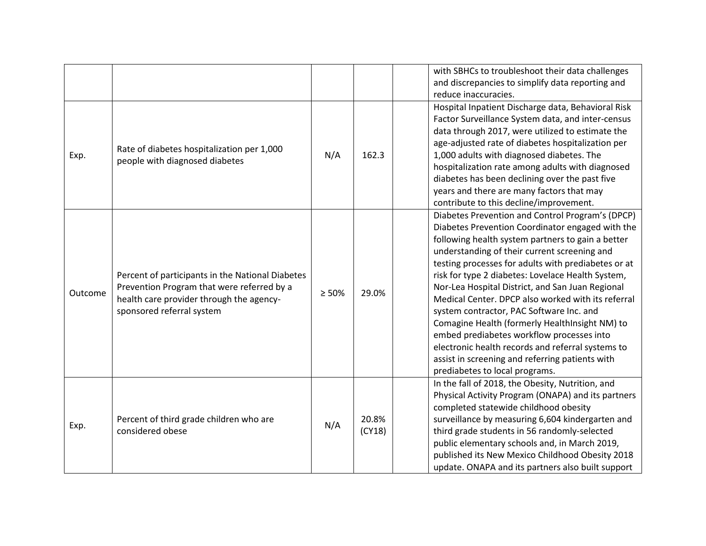|         |                                                                                                                                                                         |             |                 | with SBHCs to troubleshoot their data challenges<br>and discrepancies to simplify data reporting and<br>reduce inaccuracies.                                                                                                                                                                                                                                                                                                                                                                                                                                                                                                                                                                                         |
|---------|-------------------------------------------------------------------------------------------------------------------------------------------------------------------------|-------------|-----------------|----------------------------------------------------------------------------------------------------------------------------------------------------------------------------------------------------------------------------------------------------------------------------------------------------------------------------------------------------------------------------------------------------------------------------------------------------------------------------------------------------------------------------------------------------------------------------------------------------------------------------------------------------------------------------------------------------------------------|
| Exp.    | Rate of diabetes hospitalization per 1,000<br>people with diagnosed diabetes                                                                                            | N/A         | 162.3           | Hospital Inpatient Discharge data, Behavioral Risk<br>Factor Surveillance System data, and inter-census<br>data through 2017, were utilized to estimate the<br>age-adjusted rate of diabetes hospitalization per<br>1,000 adults with diagnosed diabetes. The<br>hospitalization rate among adults with diagnosed<br>diabetes has been declining over the past five<br>years and there are many factors that may<br>contribute to this decline/improvement.                                                                                                                                                                                                                                                          |
| Outcome | Percent of participants in the National Diabetes<br>Prevention Program that were referred by a<br>health care provider through the agency-<br>sponsored referral system | $\geq 50\%$ | 29.0%           | Diabetes Prevention and Control Program's (DPCP)<br>Diabetes Prevention Coordinator engaged with the<br>following health system partners to gain a better<br>understanding of their current screening and<br>testing processes for adults with prediabetes or at<br>risk for type 2 diabetes: Lovelace Health System,<br>Nor-Lea Hospital District, and San Juan Regional<br>Medical Center. DPCP also worked with its referral<br>system contractor, PAC Software Inc. and<br>Comagine Health (formerly HealthInsight NM) to<br>embed prediabetes workflow processes into<br>electronic health records and referral systems to<br>assist in screening and referring patients with<br>prediabetes to local programs. |
| Exp.    | Percent of third grade children who are<br>considered obese                                                                                                             | N/A         | 20.8%<br>(CY18) | In the fall of 2018, the Obesity, Nutrition, and<br>Physical Activity Program (ONAPA) and its partners<br>completed statewide childhood obesity<br>surveillance by measuring 6,604 kindergarten and<br>third grade students in 56 randomly-selected<br>public elementary schools and, in March 2019,<br>published its New Mexico Childhood Obesity 2018<br>update. ONAPA and its partners also built support                                                                                                                                                                                                                                                                                                         |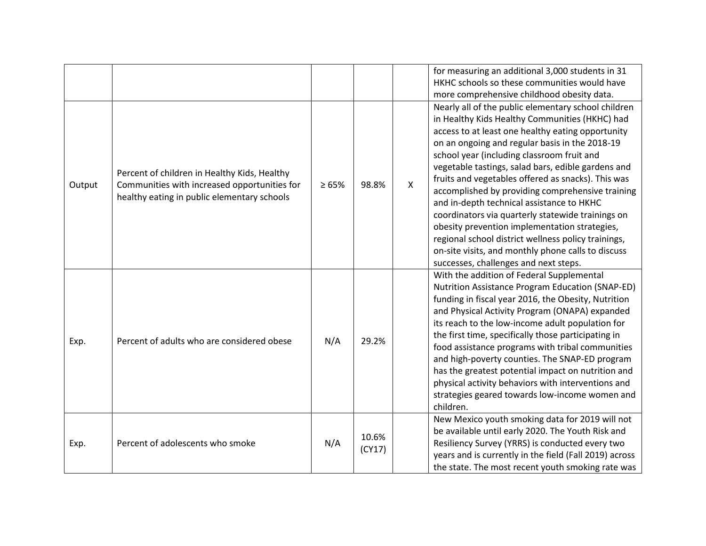|        |                                                                                                                                             |            |                 |              | for measuring an additional 3,000 students in 31<br>HKHC schools so these communities would have<br>more comprehensive childhood obesity data.                                                                                                                                                                                                                                                                                                                                                                                                                                                                                                                                                                                      |
|--------|---------------------------------------------------------------------------------------------------------------------------------------------|------------|-----------------|--------------|-------------------------------------------------------------------------------------------------------------------------------------------------------------------------------------------------------------------------------------------------------------------------------------------------------------------------------------------------------------------------------------------------------------------------------------------------------------------------------------------------------------------------------------------------------------------------------------------------------------------------------------------------------------------------------------------------------------------------------------|
| Output | Percent of children in Healthy Kids, Healthy<br>Communities with increased opportunities for<br>healthy eating in public elementary schools | $\ge 65\%$ | 98.8%           | $\mathsf{X}$ | Nearly all of the public elementary school children<br>in Healthy Kids Healthy Communities (HKHC) had<br>access to at least one healthy eating opportunity<br>on an ongoing and regular basis in the 2018-19<br>school year (including classroom fruit and<br>vegetable tastings, salad bars, edible gardens and<br>fruits and vegetables offered as snacks). This was<br>accomplished by providing comprehensive training<br>and in-depth technical assistance to HKHC<br>coordinators via quarterly statewide trainings on<br>obesity prevention implementation strategies,<br>regional school district wellness policy trainings,<br>on-site visits, and monthly phone calls to discuss<br>successes, challenges and next steps. |
| Exp.   | Percent of adults who are considered obese                                                                                                  | N/A        | 29.2%           |              | With the addition of Federal Supplemental<br>Nutrition Assistance Program Education (SNAP-ED)<br>funding in fiscal year 2016, the Obesity, Nutrition<br>and Physical Activity Program (ONAPA) expanded<br>its reach to the low-income adult population for<br>the first time, specifically those participating in<br>food assistance programs with tribal communities<br>and high-poverty counties. The SNAP-ED program<br>has the greatest potential impact on nutrition and<br>physical activity behaviors with interventions and<br>strategies geared towards low-income women and<br>children.                                                                                                                                  |
| Exp.   | Percent of adolescents who smoke                                                                                                            | N/A        | 10.6%<br>(CY17) |              | New Mexico youth smoking data for 2019 will not<br>be available until early 2020. The Youth Risk and<br>Resiliency Survey (YRRS) is conducted every two<br>years and is currently in the field (Fall 2019) across<br>the state. The most recent youth smoking rate was                                                                                                                                                                                                                                                                                                                                                                                                                                                              |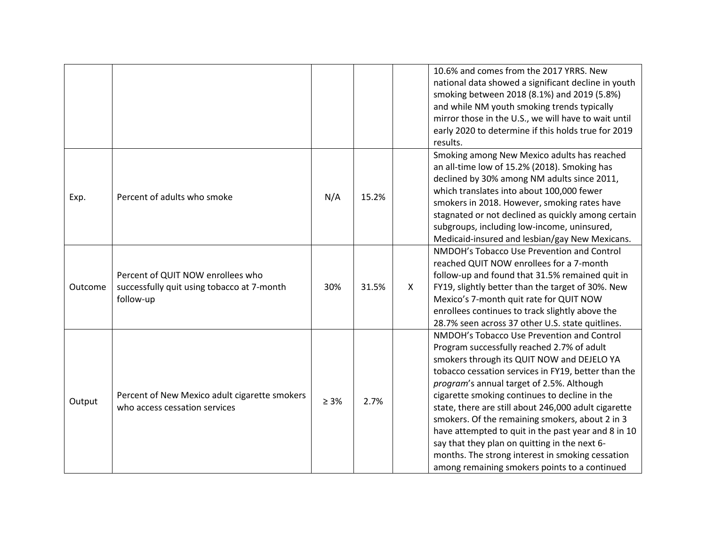|         |                                                                                              |            |       |              | 10.6% and comes from the 2017 YRRS. New<br>national data showed a significant decline in youth<br>smoking between 2018 (8.1%) and 2019 (5.8%)<br>and while NM youth smoking trends typically<br>mirror those in the U.S., we will have to wait until                                                                                                                                                                                                                                                                                                                                                                |
|---------|----------------------------------------------------------------------------------------------|------------|-------|--------------|---------------------------------------------------------------------------------------------------------------------------------------------------------------------------------------------------------------------------------------------------------------------------------------------------------------------------------------------------------------------------------------------------------------------------------------------------------------------------------------------------------------------------------------------------------------------------------------------------------------------|
|         |                                                                                              |            |       |              | early 2020 to determine if this holds true for 2019<br>results.                                                                                                                                                                                                                                                                                                                                                                                                                                                                                                                                                     |
| Exp.    | Percent of adults who smoke                                                                  | N/A        | 15.2% |              | Smoking among New Mexico adults has reached<br>an all-time low of 15.2% (2018). Smoking has<br>declined by 30% among NM adults since 2011,<br>which translates into about 100,000 fewer<br>smokers in 2018. However, smoking rates have<br>stagnated or not declined as quickly among certain<br>subgroups, including low-income, uninsured,<br>Medicaid-insured and lesbian/gay New Mexicans.                                                                                                                                                                                                                      |
| Outcome | Percent of QUIT NOW enrollees who<br>successfully quit using tobacco at 7-month<br>follow-up | 30%        | 31.5% | $\mathsf{X}$ | NMDOH's Tobacco Use Prevention and Control<br>reached QUIT NOW enrollees for a 7-month<br>follow-up and found that 31.5% remained quit in<br>FY19, slightly better than the target of 30%. New<br>Mexico's 7-month quit rate for QUIT NOW<br>enrollees continues to track slightly above the<br>28.7% seen across 37 other U.S. state quitlines.                                                                                                                                                                                                                                                                    |
| Output  | Percent of New Mexico adult cigarette smokers<br>who access cessation services               | $\geq 3\%$ | 2.7%  |              | NMDOH's Tobacco Use Prevention and Control<br>Program successfully reached 2.7% of adult<br>smokers through its QUIT NOW and DEJELO YA<br>tobacco cessation services in FY19, better than the<br>program's annual target of 2.5%. Although<br>cigarette smoking continues to decline in the<br>state, there are still about 246,000 adult cigarette<br>smokers. Of the remaining smokers, about 2 in 3<br>have attempted to quit in the past year and 8 in 10<br>say that they plan on quitting in the next 6-<br>months. The strong interest in smoking cessation<br>among remaining smokers points to a continued |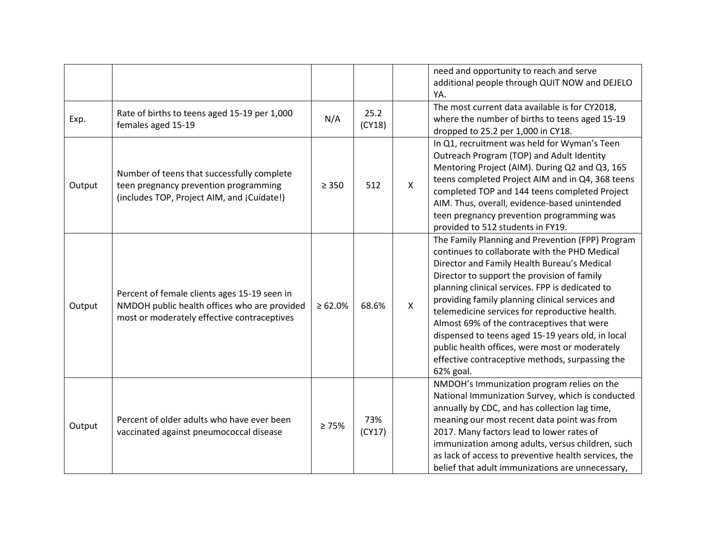|        |                                                                                                                                             |               |                |              | need and opportunity to reach and serve<br>additional people through QUIT NOW and DEJELO<br>YA.                                                                                                                                                                                                                                                                                                                                                                                                                                                                              |
|--------|---------------------------------------------------------------------------------------------------------------------------------------------|---------------|----------------|--------------|------------------------------------------------------------------------------------------------------------------------------------------------------------------------------------------------------------------------------------------------------------------------------------------------------------------------------------------------------------------------------------------------------------------------------------------------------------------------------------------------------------------------------------------------------------------------------|
| Exp.   | Rate of births to teens aged 15-19 per 1,000<br>females aged 15-19                                                                          | N/A           | 25.2<br>(CY18) |              | The most current data available is for CY2018,<br>where the number of births to teens aged 15-19<br>dropped to 25.2 per 1,000 in CY18.                                                                                                                                                                                                                                                                                                                                                                                                                                       |
| Output | Number of teens that successfully complete<br>teen pregnancy prevention programming<br>(includes TOP, Project AIM, and ¡Cuídate!)           | $\geq 350$    | 512            | $\mathsf{X}$ | In Q1, recruitment was held for Wyman's Teen<br>Outreach Program (TOP) and Adult Identity<br>Mentoring Project (AIM). During Q2 and Q3, 165<br>teens completed Project AIM and in Q4, 368 teens<br>completed TOP and 144 teens completed Project<br>AIM. Thus, overall, evidence-based unintended<br>teen pregnancy prevention programming was<br>provided to 512 students in FY19.                                                                                                                                                                                          |
| Output | Percent of female clients ages 15-19 seen in<br>NMDOH public health offices who are provided<br>most or moderately effective contraceptives | $\geq 62.0\%$ | 68.6%          | $\mathsf{X}$ | The Family Planning and Prevention (FPP) Program<br>continues to collaborate with the PHD Medical<br>Director and Family Health Bureau's Medical<br>Director to support the provision of family<br>planning clinical services. FPP is dedicated to<br>providing family planning clinical services and<br>telemedicine services for reproductive health.<br>Almost 69% of the contraceptives that were<br>dispensed to teens aged 15-19 years old, in local<br>public health offices, were most or moderately<br>effective contraceptive methods, surpassing the<br>62% goal. |
| Output | Percent of older adults who have ever been<br>vaccinated against pneumococcal disease                                                       | $\geq 75\%$   | 73%<br>(CY17)  |              | NMDOH's Immunization program relies on the<br>National Immunization Survey, which is conducted<br>annually by CDC, and has collection lag time,<br>meaning our most recent data point was from<br>2017. Many factors lead to lower rates of<br>immunization among adults, versus children, such<br>as lack of access to preventive health services, the<br>belief that adult immunizations are unnecessary,                                                                                                                                                                  |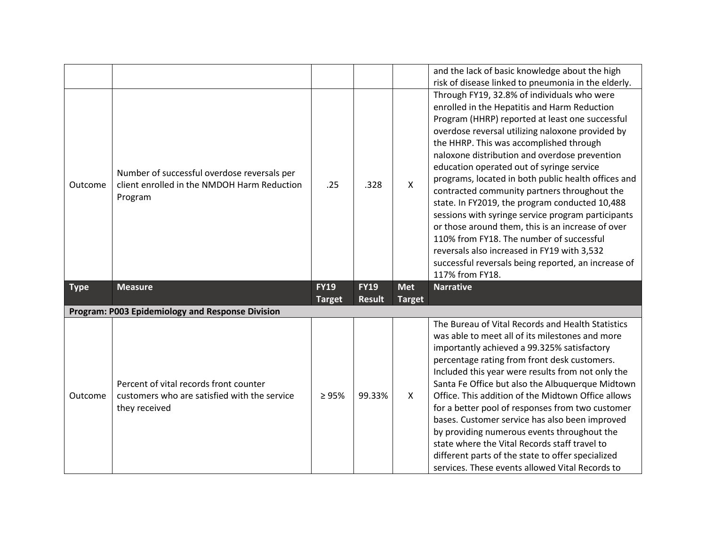|             |                                                                                                       |               |               |               | and the lack of basic knowledge about the high<br>risk of disease linked to pneumonia in the elderly.<br>Through FY19, 32.8% of individuals who were<br>enrolled in the Hepatitis and Harm Reduction<br>Program (HHRP) reported at least one successful<br>overdose reversal utilizing naloxone provided by                                                                                                                                                                                                                                                                    |
|-------------|-------------------------------------------------------------------------------------------------------|---------------|---------------|---------------|--------------------------------------------------------------------------------------------------------------------------------------------------------------------------------------------------------------------------------------------------------------------------------------------------------------------------------------------------------------------------------------------------------------------------------------------------------------------------------------------------------------------------------------------------------------------------------|
| Outcome     | Number of successful overdose reversals per<br>client enrolled in the NMDOH Harm Reduction<br>Program | .25           | .328          | $\mathsf{X}$  | the HHRP. This was accomplished through<br>naloxone distribution and overdose prevention<br>education operated out of syringe service<br>programs, located in both public health offices and<br>contracted community partners throughout the<br>state. In FY2019, the program conducted 10,488<br>sessions with syringe service program participants<br>or those around them, this is an increase of over<br>110% from FY18. The number of successful<br>reversals also increased in FY19 with 3,532<br>successful reversals being reported, an increase of<br>117% from FY18. |
|             |                                                                                                       |               |               |               |                                                                                                                                                                                                                                                                                                                                                                                                                                                                                                                                                                                |
| <b>Type</b> | <b>Measure</b>                                                                                        | <b>FY19</b>   | <b>FY19</b>   | <b>Met</b>    | <b>Narrative</b>                                                                                                                                                                                                                                                                                                                                                                                                                                                                                                                                                               |
|             |                                                                                                       | <b>Target</b> | <b>Result</b> | <b>Target</b> |                                                                                                                                                                                                                                                                                                                                                                                                                                                                                                                                                                                |
|             | Program: P003 Epidemiology and Response Division                                                      |               |               |               | The Bureau of Vital Records and Health Statistics                                                                                                                                                                                                                                                                                                                                                                                                                                                                                                                              |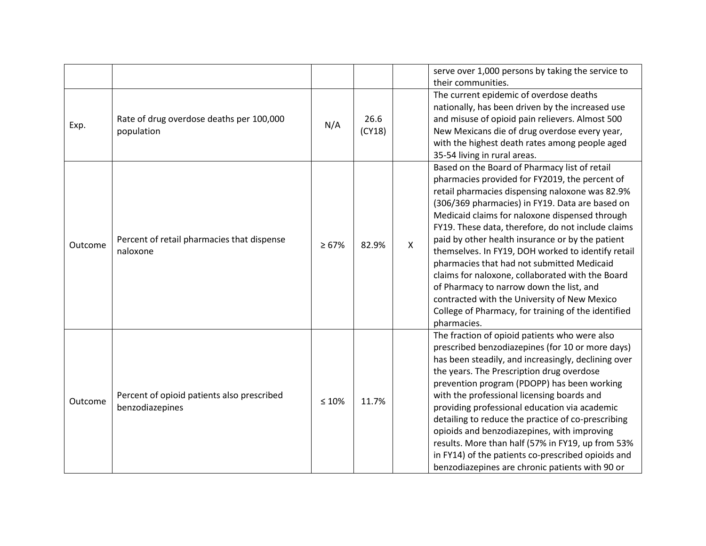|         |                                                               |             |                |              | serve over 1,000 persons by taking the service to<br>their communities.                                                                                                                                                                                                                                                                                                                                                                                                                                                                                                                                                                                                                     |
|---------|---------------------------------------------------------------|-------------|----------------|--------------|---------------------------------------------------------------------------------------------------------------------------------------------------------------------------------------------------------------------------------------------------------------------------------------------------------------------------------------------------------------------------------------------------------------------------------------------------------------------------------------------------------------------------------------------------------------------------------------------------------------------------------------------------------------------------------------------|
| Exp.    | Rate of drug overdose deaths per 100,000<br>population        | N/A         | 26.6<br>(CY18) |              | The current epidemic of overdose deaths<br>nationally, has been driven by the increased use<br>and misuse of opioid pain relievers. Almost 500<br>New Mexicans die of drug overdose every year,<br>with the highest death rates among people aged<br>35-54 living in rural areas.                                                                                                                                                                                                                                                                                                                                                                                                           |
| Outcome | Percent of retail pharmacies that dispense<br>naloxone        | $\geq 67\%$ | 82.9%          | $\mathsf{X}$ | Based on the Board of Pharmacy list of retail<br>pharmacies provided for FY2019, the percent of<br>retail pharmacies dispensing naloxone was 82.9%<br>(306/369 pharmacies) in FY19. Data are based on<br>Medicaid claims for naloxone dispensed through<br>FY19. These data, therefore, do not include claims<br>paid by other health insurance or by the patient<br>themselves. In FY19, DOH worked to identify retail<br>pharmacies that had not submitted Medicaid<br>claims for naloxone, collaborated with the Board<br>of Pharmacy to narrow down the list, and<br>contracted with the University of New Mexico<br>College of Pharmacy, for training of the identified<br>pharmacies. |
| Outcome | Percent of opioid patients also prescribed<br>benzodiazepines | $\leq 10\%$ | 11.7%          |              | The fraction of opioid patients who were also<br>prescribed benzodiazepines (for 10 or more days)<br>has been steadily, and increasingly, declining over<br>the years. The Prescription drug overdose<br>prevention program (PDOPP) has been working<br>with the professional licensing boards and<br>providing professional education via academic<br>detailing to reduce the practice of co-prescribing<br>opioids and benzodiazepines, with improving<br>results. More than half (57% in FY19, up from 53%<br>in FY14) of the patients co-prescribed opioids and<br>benzodiazepines are chronic patients with 90 or                                                                      |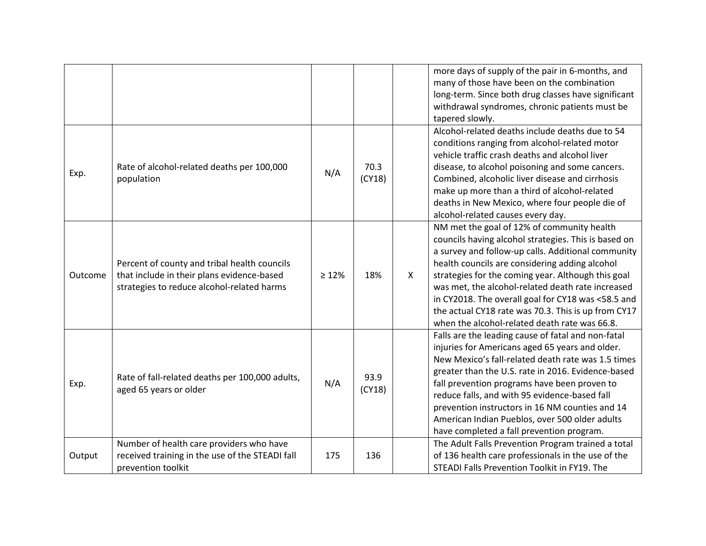|         |                                                                                                                                          |             |                |   | more days of supply of the pair in 6-months, and<br>many of those have been on the combination<br>long-term. Since both drug classes have significant<br>withdrawal syndromes, chronic patients must be<br>tapered slowly.                                                                                                                                                                                                                                                          |
|---------|------------------------------------------------------------------------------------------------------------------------------------------|-------------|----------------|---|-------------------------------------------------------------------------------------------------------------------------------------------------------------------------------------------------------------------------------------------------------------------------------------------------------------------------------------------------------------------------------------------------------------------------------------------------------------------------------------|
| Exp.    | Rate of alcohol-related deaths per 100,000<br>population                                                                                 | N/A         | 70.3<br>(CY18) |   | Alcohol-related deaths include deaths due to 54<br>conditions ranging from alcohol-related motor<br>vehicle traffic crash deaths and alcohol liver<br>disease, to alcohol poisoning and some cancers.<br>Combined, alcoholic liver disease and cirrhosis<br>make up more than a third of alcohol-related<br>deaths in New Mexico, where four people die of<br>alcohol-related causes every day.                                                                                     |
| Outcome | Percent of county and tribal health councils<br>that include in their plans evidence-based<br>strategies to reduce alcohol-related harms | $\geq 12\%$ | 18%            | X | NM met the goal of 12% of community health<br>councils having alcohol strategies. This is based on<br>a survey and follow-up calls. Additional community<br>health councils are considering adding alcohol<br>strategies for the coming year. Although this goal<br>was met, the alcohol-related death rate increased<br>in CY2018. The overall goal for CY18 was <58.5 and<br>the actual CY18 rate was 70.3. This is up from CY17<br>when the alcohol-related death rate was 66.8. |
| Exp.    | Rate of fall-related deaths per 100,000 adults,<br>aged 65 years or older                                                                | N/A         | 93.9<br>(CY18) |   | Falls are the leading cause of fatal and non-fatal<br>injuries for Americans aged 65 years and older.<br>New Mexico's fall-related death rate was 1.5 times<br>greater than the U.S. rate in 2016. Evidence-based<br>fall prevention programs have been proven to<br>reduce falls, and with 95 evidence-based fall<br>prevention instructors in 16 NM counties and 14<br>American Indian Pueblos, over 500 older adults<br>have completed a fall prevention program.                |
| Output  | Number of health care providers who have<br>received training in the use of the STEADI fall<br>prevention toolkit                        | 175         | 136            |   | The Adult Falls Prevention Program trained a total<br>of 136 health care professionals in the use of the<br>STEADI Falls Prevention Toolkit in FY19. The                                                                                                                                                                                                                                                                                                                            |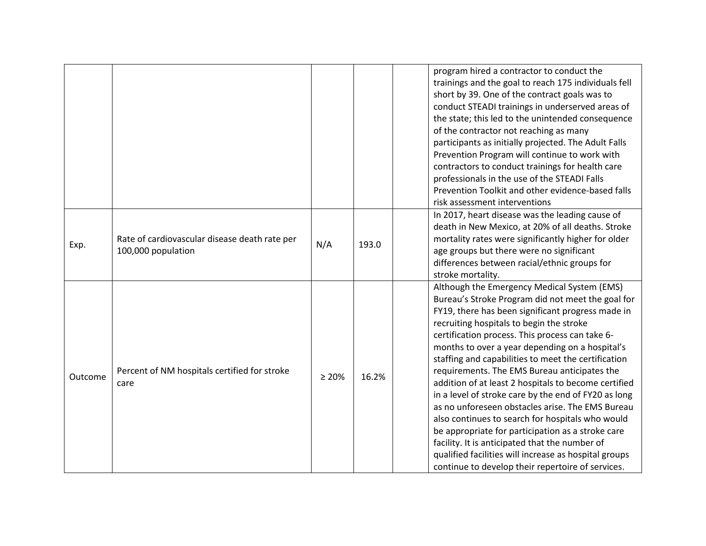|         |                                                                     |             |       | program hired a contractor to conduct the<br>trainings and the goal to reach 175 individuals fell<br>short by 39. One of the contract goals was to<br>conduct STEADI trainings in underserved areas of<br>the state; this led to the unintended consequence<br>of the contractor not reaching as many<br>participants as initially projected. The Adult Falls<br>Prevention Program will continue to work with<br>contractors to conduct trainings for health care<br>professionals in the use of the STEADI Falls<br>Prevention Toolkit and other evidence-based falls<br>risk assessment interventions                                                                                                                                                                                                                                                    |
|---------|---------------------------------------------------------------------|-------------|-------|-------------------------------------------------------------------------------------------------------------------------------------------------------------------------------------------------------------------------------------------------------------------------------------------------------------------------------------------------------------------------------------------------------------------------------------------------------------------------------------------------------------------------------------------------------------------------------------------------------------------------------------------------------------------------------------------------------------------------------------------------------------------------------------------------------------------------------------------------------------|
| Exp.    | Rate of cardiovascular disease death rate per<br>100,000 population | N/A         | 193.0 | In 2017, heart disease was the leading cause of<br>death in New Mexico, at 20% of all deaths. Stroke<br>mortality rates were significantly higher for older<br>age groups but there were no significant<br>differences between racial/ethnic groups for<br>stroke mortality.                                                                                                                                                                                                                                                                                                                                                                                                                                                                                                                                                                                |
| Outcome | Percent of NM hospitals certified for stroke<br>care                | $\geq 20\%$ | 16.2% | Although the Emergency Medical System (EMS)<br>Bureau's Stroke Program did not meet the goal for<br>FY19, there has been significant progress made in<br>recruiting hospitals to begin the stroke<br>certification process. This process can take 6-<br>months to over a year depending on a hospital's<br>staffing and capabilities to meet the certification<br>requirements. The EMS Bureau anticipates the<br>addition of at least 2 hospitals to become certified<br>in a level of stroke care by the end of FY20 as long<br>as no unforeseen obstacles arise. The EMS Bureau<br>also continues to search for hospitals who would<br>be appropriate for participation as a stroke care<br>facility. It is anticipated that the number of<br>qualified facilities will increase as hospital groups<br>continue to develop their repertoire of services. |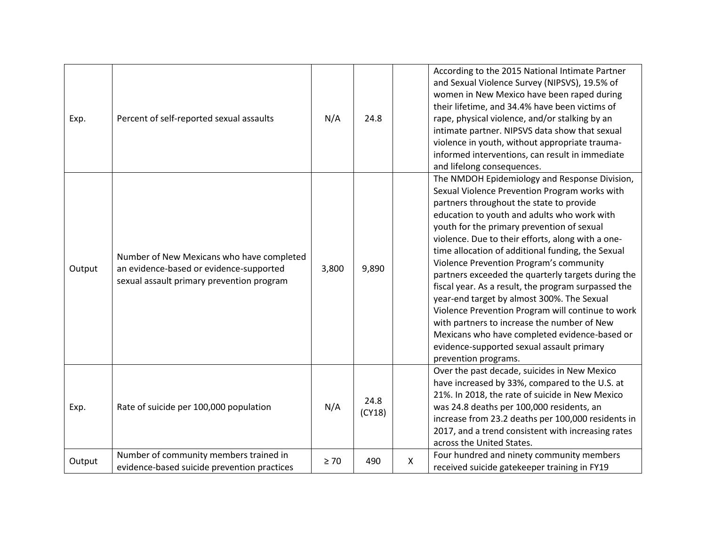| Exp.   | Percent of self-reported sexual assaults                                                                                          | N/A       | 24.8           |              | According to the 2015 National Intimate Partner<br>and Sexual Violence Survey (NIPSVS), 19.5% of<br>women in New Mexico have been raped during<br>their lifetime, and 34.4% have been victims of<br>rape, physical violence, and/or stalking by an<br>intimate partner. NIPSVS data show that sexual<br>violence in youth, without appropriate trauma-<br>informed interventions, can result in immediate<br>and lifelong consequences.                                                                                                                                                                                                                                                                                                                                           |
|--------|-----------------------------------------------------------------------------------------------------------------------------------|-----------|----------------|--------------|-----------------------------------------------------------------------------------------------------------------------------------------------------------------------------------------------------------------------------------------------------------------------------------------------------------------------------------------------------------------------------------------------------------------------------------------------------------------------------------------------------------------------------------------------------------------------------------------------------------------------------------------------------------------------------------------------------------------------------------------------------------------------------------|
| Output | Number of New Mexicans who have completed<br>an evidence-based or evidence-supported<br>sexual assault primary prevention program | 3,800     | 9,890          |              | The NMDOH Epidemiology and Response Division,<br>Sexual Violence Prevention Program works with<br>partners throughout the state to provide<br>education to youth and adults who work with<br>youth for the primary prevention of sexual<br>violence. Due to their efforts, along with a one-<br>time allocation of additional funding, the Sexual<br>Violence Prevention Program's community<br>partners exceeded the quarterly targets during the<br>fiscal year. As a result, the program surpassed the<br>year-end target by almost 300%. The Sexual<br>Violence Prevention Program will continue to work<br>with partners to increase the number of New<br>Mexicans who have completed evidence-based or<br>evidence-supported sexual assault primary<br>prevention programs. |
| Exp.   | Rate of suicide per 100,000 population                                                                                            | N/A       | 24.8<br>(CY18) |              | Over the past decade, suicides in New Mexico<br>have increased by 33%, compared to the U.S. at<br>21%. In 2018, the rate of suicide in New Mexico<br>was 24.8 deaths per 100,000 residents, an<br>increase from 23.2 deaths per 100,000 residents in<br>2017, and a trend consistent with increasing rates<br>across the United States.                                                                                                                                                                                                                                                                                                                                                                                                                                           |
| Output | Number of community members trained in<br>evidence-based suicide prevention practices                                             | $\geq 70$ | 490            | $\mathsf{X}$ | Four hundred and ninety community members<br>received suicide gatekeeper training in FY19                                                                                                                                                                                                                                                                                                                                                                                                                                                                                                                                                                                                                                                                                         |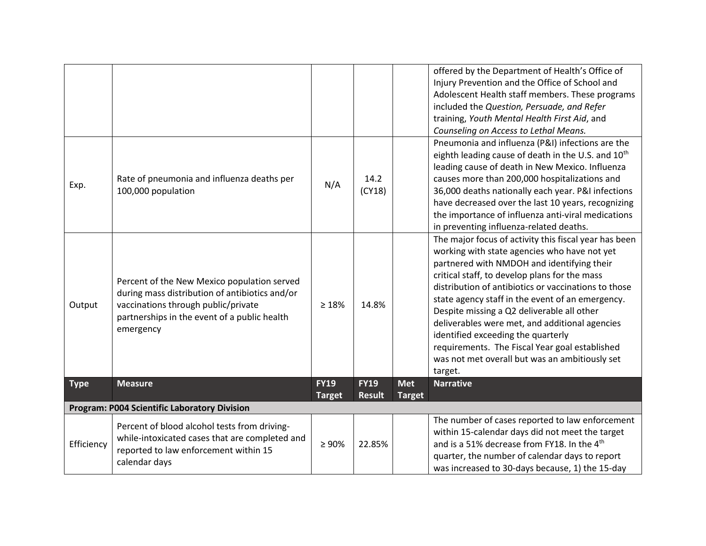|             |                                                                                                                                                                                                   |                              |                              |                             | offered by the Department of Health's Office of<br>Injury Prevention and the Office of School and<br>Adolescent Health staff members. These programs<br>included the Question, Persuade, and Refer<br>training, Youth Mental Health First Aid, and<br>Counseling on Access to Lethal Means.                                                                                                                                                                                                                                                                           |
|-------------|---------------------------------------------------------------------------------------------------------------------------------------------------------------------------------------------------|------------------------------|------------------------------|-----------------------------|-----------------------------------------------------------------------------------------------------------------------------------------------------------------------------------------------------------------------------------------------------------------------------------------------------------------------------------------------------------------------------------------------------------------------------------------------------------------------------------------------------------------------------------------------------------------------|
| Exp.        | Rate of pneumonia and influenza deaths per<br>100,000 population                                                                                                                                  | N/A                          | 14.2<br>(CY18)               |                             | Pneumonia and influenza (P&I) infections are the<br>eighth leading cause of death in the U.S. and 10 <sup>th</sup><br>leading cause of death in New Mexico. Influenza<br>causes more than 200,000 hospitalizations and<br>36,000 deaths nationally each year. P&I infections<br>have decreased over the last 10 years, recognizing<br>the importance of influenza anti-viral medications<br>in preventing influenza-related deaths.                                                                                                                                   |
| Output      | Percent of the New Mexico population served<br>during mass distribution of antibiotics and/or<br>vaccinations through public/private<br>partnerships in the event of a public health<br>emergency | $\geq 18\%$                  | 14.8%                        |                             | The major focus of activity this fiscal year has been<br>working with state agencies who have not yet<br>partnered with NMDOH and identifying their<br>critical staff, to develop plans for the mass<br>distribution of antibiotics or vaccinations to those<br>state agency staff in the event of an emergency.<br>Despite missing a Q2 deliverable all other<br>deliverables were met, and additional agencies<br>identified exceeding the quarterly<br>requirements. The Fiscal Year goal established<br>was not met overall but was an ambitiously set<br>target. |
| <b>Type</b> | <b>Measure</b>                                                                                                                                                                                    | <b>FY19</b><br><b>Target</b> | <b>FY19</b><br><b>Result</b> | <b>Met</b><br><b>Target</b> | <b>Narrative</b>                                                                                                                                                                                                                                                                                                                                                                                                                                                                                                                                                      |
|             | <b>Program: P004 Scientific Laboratory Division</b>                                                                                                                                               |                              |                              |                             |                                                                                                                                                                                                                                                                                                                                                                                                                                                                                                                                                                       |
| Efficiency  | Percent of blood alcohol tests from driving-<br>while-intoxicated cases that are completed and<br>reported to law enforcement within 15<br>calendar days                                          | $\geq 90\%$                  | 22.85%                       |                             | The number of cases reported to law enforcement<br>within 15-calendar days did not meet the target<br>and is a 51% decrease from FY18. In the 4 <sup>th</sup><br>quarter, the number of calendar days to report<br>was increased to 30-days because, 1) the 15-day                                                                                                                                                                                                                                                                                                    |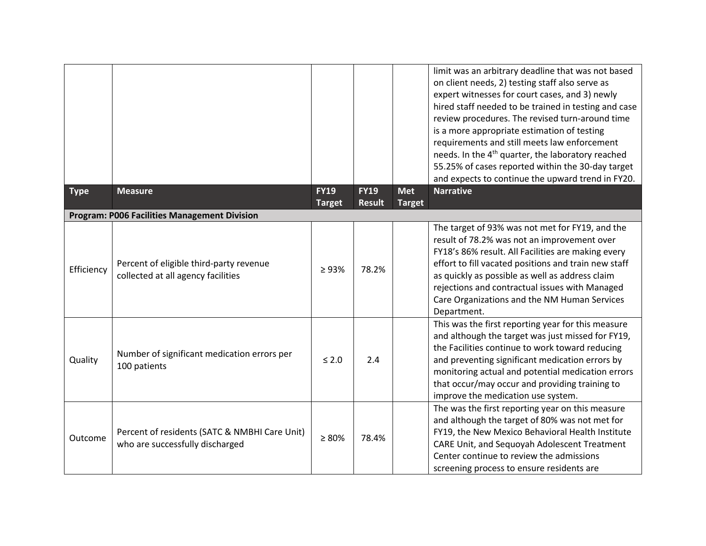|             |                                                                                  |                              |                              |                             | limit was an arbitrary deadline that was not based<br>on client needs, 2) testing staff also serve as<br>expert witnesses for court cases, and 3) newly<br>hired staff needed to be trained in testing and case<br>review procedures. The revised turn-around time<br>is a more appropriate estimation of testing<br>requirements and still meets law enforcement<br>needs. In the 4 <sup>th</sup> quarter, the laboratory reached<br>55.25% of cases reported within the 30-day target<br>and expects to continue the upward trend in FY20. |
|-------------|----------------------------------------------------------------------------------|------------------------------|------------------------------|-----------------------------|----------------------------------------------------------------------------------------------------------------------------------------------------------------------------------------------------------------------------------------------------------------------------------------------------------------------------------------------------------------------------------------------------------------------------------------------------------------------------------------------------------------------------------------------|
| <b>Type</b> | <b>Measure</b>                                                                   | <b>FY19</b><br><b>Target</b> | <b>FY19</b><br><b>Result</b> | <b>Met</b><br><b>Target</b> | <b>Narrative</b>                                                                                                                                                                                                                                                                                                                                                                                                                                                                                                                             |
|             | <b>Program: P006 Facilities Management Division</b>                              |                              |                              |                             |                                                                                                                                                                                                                                                                                                                                                                                                                                                                                                                                              |
| Efficiency  | Percent of eligible third-party revenue<br>collected at all agency facilities    | $\geq 93\%$                  | 78.2%                        |                             | The target of 93% was not met for FY19, and the<br>result of 78.2% was not an improvement over<br>FY18's 86% result. All Facilities are making every<br>effort to fill vacated positions and train new staff<br>as quickly as possible as well as address claim<br>rejections and contractual issues with Managed<br>Care Organizations and the NM Human Services<br>Department.                                                                                                                                                             |
| Quality     | Number of significant medication errors per<br>100 patients                      | $\leq 2.0$                   | 2.4                          |                             | This was the first reporting year for this measure<br>and although the target was just missed for FY19,<br>the Facilities continue to work toward reducing<br>and preventing significant medication errors by<br>monitoring actual and potential medication errors<br>that occur/may occur and providing training to<br>improve the medication use system.                                                                                                                                                                                   |
| Outcome     | Percent of residents (SATC & NMBHI Care Unit)<br>who are successfully discharged | $\geq 80\%$                  | 78.4%                        |                             | The was the first reporting year on this measure<br>and although the target of 80% was not met for<br>FY19, the New Mexico Behavioral Health Institute<br>CARE Unit, and Sequoyah Adolescent Treatment<br>Center continue to review the admissions<br>screening process to ensure residents are                                                                                                                                                                                                                                              |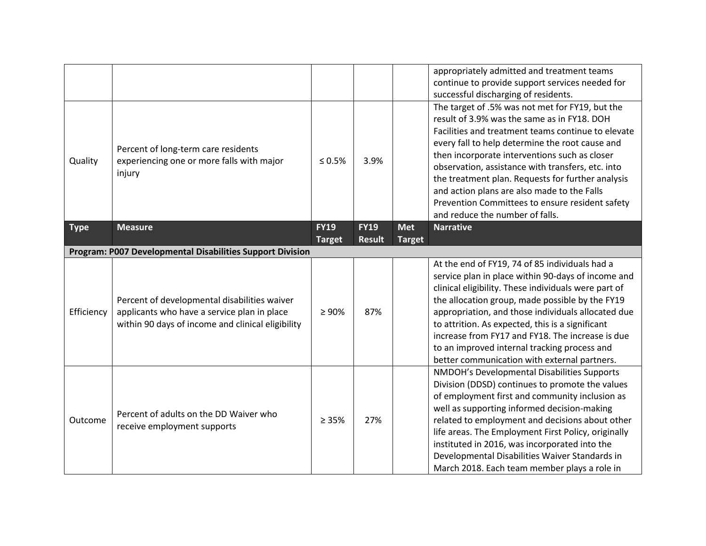|                                                           |                                                                                                                                                  |                              |                              |                             | appropriately admitted and treatment teams<br>continue to provide support services needed for<br>successful discharging of residents.                                                                                                                                                                                                                                                                                                                                                                   |  |  |
|-----------------------------------------------------------|--------------------------------------------------------------------------------------------------------------------------------------------------|------------------------------|------------------------------|-----------------------------|---------------------------------------------------------------------------------------------------------------------------------------------------------------------------------------------------------------------------------------------------------------------------------------------------------------------------------------------------------------------------------------------------------------------------------------------------------------------------------------------------------|--|--|
| Quality                                                   | Percent of long-term care residents<br>experiencing one or more falls with major<br>injury                                                       | $\leq 0.5\%$                 | 3.9%                         |                             | The target of .5% was not met for FY19, but the<br>result of 3.9% was the same as in FY18. DOH<br>Facilities and treatment teams continue to elevate<br>every fall to help determine the root cause and<br>then incorporate interventions such as closer<br>observation, assistance with transfers, etc. into<br>the treatment plan. Requests for further analysis<br>and action plans are also made to the Falls<br>Prevention Committees to ensure resident safety<br>and reduce the number of falls. |  |  |
| <b>Type</b>                                               | <b>Measure</b>                                                                                                                                   | <b>FY19</b><br><b>Target</b> | <b>FY19</b><br><b>Result</b> | <b>Met</b><br><b>Target</b> | <b>Narrative</b>                                                                                                                                                                                                                                                                                                                                                                                                                                                                                        |  |  |
| Program: P007 Developmental Disabilities Support Division |                                                                                                                                                  |                              |                              |                             |                                                                                                                                                                                                                                                                                                                                                                                                                                                                                                         |  |  |
| Efficiency                                                | Percent of developmental disabilities waiver<br>applicants who have a service plan in place<br>within 90 days of income and clinical eligibility | $\geq 90\%$                  | 87%                          |                             | At the end of FY19, 74 of 85 individuals had a<br>service plan in place within 90-days of income and<br>clinical eligibility. These individuals were part of<br>the allocation group, made possible by the FY19<br>appropriation, and those individuals allocated due<br>to attrition. As expected, this is a significant<br>increase from FY17 and FY18. The increase is due<br>to an improved internal tracking process and<br>better communication with external partners.                           |  |  |
| Outcome                                                   | Percent of adults on the DD Waiver who<br>receive employment supports                                                                            | $\geq 35\%$                  | 27%                          |                             | NMDOH's Developmental Disabilities Supports<br>Division (DDSD) continues to promote the values<br>of employment first and community inclusion as<br>well as supporting informed decision-making<br>related to employment and decisions about other<br>life areas. The Employment First Policy, originally<br>instituted in 2016, was incorporated into the<br>Developmental Disabilities Waiver Standards in<br>March 2018. Each team member plays a role in                                            |  |  |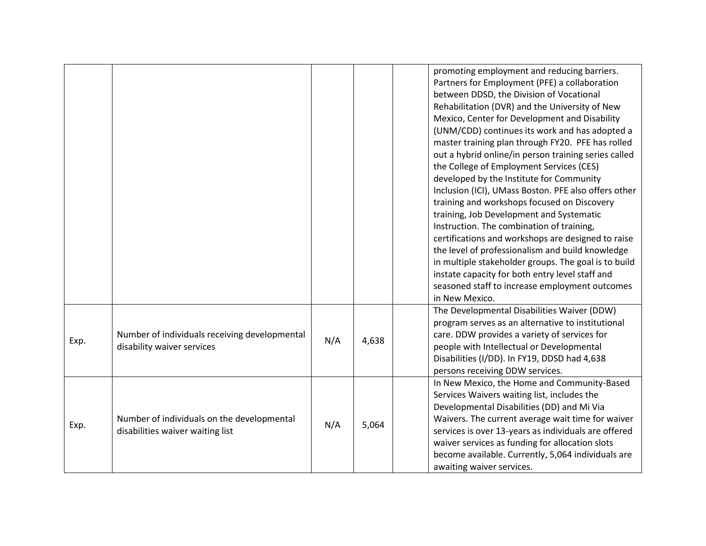|      |                                                                                |     |       | promoting employment and reducing barriers.<br>Partners for Employment (PFE) a collaboration<br>between DDSD, the Division of Vocational<br>Rehabilitation (DVR) and the University of New<br>Mexico, Center for Development and Disability<br>(UNM/CDD) continues its work and has adopted a<br>master training plan through FY20. PFE has rolled<br>out a hybrid online/in person training series called<br>the College of Employment Services (CES)<br>developed by the Institute for Community<br>Inclusion (ICI), UMass Boston. PFE also offers other<br>training and workshops focused on Discovery<br>training, Job Development and Systematic<br>Instruction. The combination of training,<br>certifications and workshops are designed to raise<br>the level of professionalism and build knowledge<br>in multiple stakeholder groups. The goal is to build<br>instate capacity for both entry level staff and<br>seasoned staff to increase employment outcomes<br>in New Mexico. |
|------|--------------------------------------------------------------------------------|-----|-------|---------------------------------------------------------------------------------------------------------------------------------------------------------------------------------------------------------------------------------------------------------------------------------------------------------------------------------------------------------------------------------------------------------------------------------------------------------------------------------------------------------------------------------------------------------------------------------------------------------------------------------------------------------------------------------------------------------------------------------------------------------------------------------------------------------------------------------------------------------------------------------------------------------------------------------------------------------------------------------------------|
| Exp. | Number of individuals receiving developmental<br>disability waiver services    | N/A | 4,638 | The Developmental Disabilities Waiver (DDW)<br>program serves as an alternative to institutional<br>care. DDW provides a variety of services for<br>people with Intellectual or Developmental<br>Disabilities (I/DD). In FY19, DDSD had 4,638<br>persons receiving DDW services.                                                                                                                                                                                                                                                                                                                                                                                                                                                                                                                                                                                                                                                                                                            |
| Exp. | Number of individuals on the developmental<br>disabilities waiver waiting list | N/A | 5,064 | In New Mexico, the Home and Community-Based<br>Services Waivers waiting list, includes the<br>Developmental Disabilities (DD) and Mi Via<br>Waivers. The current average wait time for waiver<br>services is over 13-years as individuals are offered<br>waiver services as funding for allocation slots<br>become available. Currently, 5,064 individuals are<br>awaiting waiver services.                                                                                                                                                                                                                                                                                                                                                                                                                                                                                                                                                                                                 |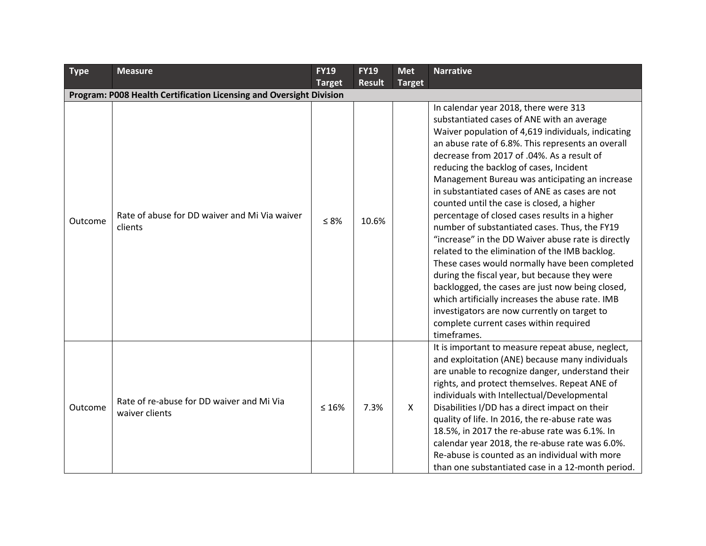| <b>Type</b> | <b>Measure</b>                                                      | <b>FY19</b>   | <b>FY19</b>   | <b>Met</b>    | <b>Narrative</b>                                                                                                                                                                                                                                                                                                                                                                                                                                                                                                                                                                                                                                                                                                                                                                                                                                                                                                                                                         |
|-------------|---------------------------------------------------------------------|---------------|---------------|---------------|--------------------------------------------------------------------------------------------------------------------------------------------------------------------------------------------------------------------------------------------------------------------------------------------------------------------------------------------------------------------------------------------------------------------------------------------------------------------------------------------------------------------------------------------------------------------------------------------------------------------------------------------------------------------------------------------------------------------------------------------------------------------------------------------------------------------------------------------------------------------------------------------------------------------------------------------------------------------------|
|             |                                                                     | <b>Target</b> | <b>Result</b> | <b>Target</b> |                                                                                                                                                                                                                                                                                                                                                                                                                                                                                                                                                                                                                                                                                                                                                                                                                                                                                                                                                                          |
|             | Program: P008 Health Certification Licensing and Oversight Division |               |               |               |                                                                                                                                                                                                                                                                                                                                                                                                                                                                                                                                                                                                                                                                                                                                                                                                                                                                                                                                                                          |
| Outcome     | Rate of abuse for DD waiver and Mi Via waiver<br>clients            | $\leq 8\%$    | 10.6%         |               | In calendar year 2018, there were 313<br>substantiated cases of ANE with an average<br>Waiver population of 4,619 individuals, indicating<br>an abuse rate of 6.8%. This represents an overall<br>decrease from 2017 of .04%. As a result of<br>reducing the backlog of cases, Incident<br>Management Bureau was anticipating an increase<br>in substantiated cases of ANE as cases are not<br>counted until the case is closed, a higher<br>percentage of closed cases results in a higher<br>number of substantiated cases. Thus, the FY19<br>"increase" in the DD Waiver abuse rate is directly<br>related to the elimination of the IMB backlog.<br>These cases would normally have been completed<br>during the fiscal year, but because they were<br>backlogged, the cases are just now being closed,<br>which artificially increases the abuse rate. IMB<br>investigators are now currently on target to<br>complete current cases within required<br>timeframes. |
| Outcome     | Rate of re-abuse for DD waiver and Mi Via<br>waiver clients         | $\leq 16\%$   | 7.3%          | $\mathsf{X}$  | It is important to measure repeat abuse, neglect,<br>and exploitation (ANE) because many individuals<br>are unable to recognize danger, understand their<br>rights, and protect themselves. Repeat ANE of<br>individuals with Intellectual/Developmental<br>Disabilities I/DD has a direct impact on their<br>quality of life. In 2016, the re-abuse rate was<br>18.5%, in 2017 the re-abuse rate was 6.1%. In<br>calendar year 2018, the re-abuse rate was 6.0%.<br>Re-abuse is counted as an individual with more<br>than one substantiated case in a 12-month period.                                                                                                                                                                                                                                                                                                                                                                                                 |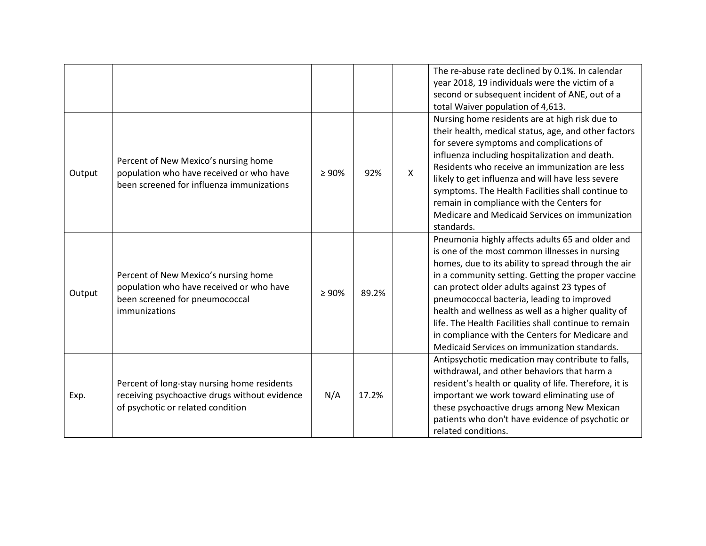|        |                                                                                                                                     |             |       |              | The re-abuse rate declined by 0.1%. In calendar<br>year 2018, 19 individuals were the victim of a<br>second or subsequent incident of ANE, out of a<br>total Waiver population of 4,613.                                                                                                                                                                                                                                                                                                                                       |
|--------|-------------------------------------------------------------------------------------------------------------------------------------|-------------|-------|--------------|--------------------------------------------------------------------------------------------------------------------------------------------------------------------------------------------------------------------------------------------------------------------------------------------------------------------------------------------------------------------------------------------------------------------------------------------------------------------------------------------------------------------------------|
| Output | Percent of New Mexico's nursing home<br>population who have received or who have<br>been screened for influenza immunizations       | $\geq 90\%$ | 92%   | $\mathsf{X}$ | Nursing home residents are at high risk due to<br>their health, medical status, age, and other factors<br>for severe symptoms and complications of<br>influenza including hospitalization and death.<br>Residents who receive an immunization are less<br>likely to get influenza and will have less severe<br>symptoms. The Health Facilities shall continue to<br>remain in compliance with the Centers for<br>Medicare and Medicaid Services on immunization<br>standards.                                                  |
| Output | Percent of New Mexico's nursing home<br>population who have received or who have<br>been screened for pneumococcal<br>immunizations | $\geq 90\%$ | 89.2% |              | Pneumonia highly affects adults 65 and older and<br>is one of the most common illnesses in nursing<br>homes, due to its ability to spread through the air<br>in a community setting. Getting the proper vaccine<br>can protect older adults against 23 types of<br>pneumococcal bacteria, leading to improved<br>health and wellness as well as a higher quality of<br>life. The Health Facilities shall continue to remain<br>in compliance with the Centers for Medicare and<br>Medicaid Services on immunization standards. |
| Exp.   | Percent of long-stay nursing home residents<br>receiving psychoactive drugs without evidence<br>of psychotic or related condition   | N/A         | 17.2% |              | Antipsychotic medication may contribute to falls,<br>withdrawal, and other behaviors that harm a<br>resident's health or quality of life. Therefore, it is<br>important we work toward eliminating use of<br>these psychoactive drugs among New Mexican<br>patients who don't have evidence of psychotic or<br>related conditions.                                                                                                                                                                                             |